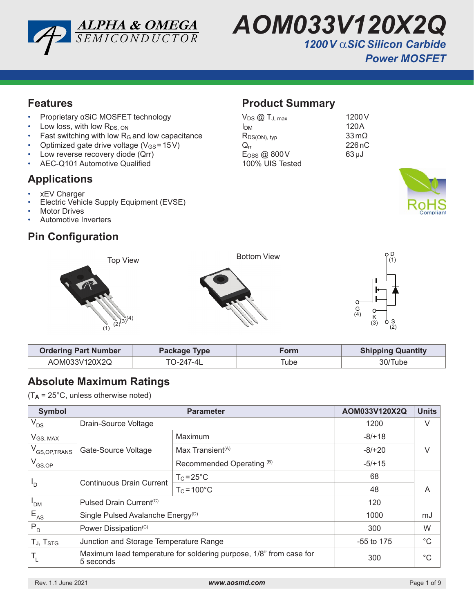



### **Features**

- Proprietary αSiC MOSFET technology
- $\cdot$  Low loss, with low  $R_{DS, ON}$
- $\cdot$  Fast switching with low R $_G$  and low capacitance
- Optimized gate drive voltage ( $V_{GS} = 15V$ )
- Low reverse recovery diode (Qrr)
- AEC-Q101 Automotive Qualified

### **Applications**

- xEV Charger
- Electric Vehicle Supply Equipment (EVSE)
- **Motor Drives**
- Automotive Inverters

## **Pin Configuration**

## **Product Summary**

| $V_{DS}$ $@$ $T_{J, max}$ | 1200 <sub>V</sub>       |
|---------------------------|-------------------------|
| Ірм                       | 120A                    |
| $R_{DS(ON), typ}$         | $33 \,\mathrm{m}\Omega$ |
| $\rm{O}$ rr               | 226 nC                  |
| Eoss @ 800V               | $63 \mu J$              |
| 100% UIS Tested           |                         |





| <b>Ordering Part Number</b> | Package Type | Form | <b>Shipping Quantity</b> |
|-----------------------------|--------------|------|--------------------------|
| AOM033V120X2Q               | TO-247-4L    | Tube | 30/Tube                  |

## **Absolute Maximum Ratings**

 $(T_A = 25^{\circ}C$ , unless otherwise noted)

| <b>Symbol</b>                                     |                                                                                 | AOM033V120X2Q                | <b>Units</b> |             |  |
|---------------------------------------------------|---------------------------------------------------------------------------------|------------------------------|--------------|-------------|--|
| $V_{DS}$                                          | Drain-Source Voltage                                                            | 1200                         | V            |             |  |
| V <sub>GS, MAX</sub>                              |                                                                                 | Maximum                      | $-8/+18$     | V           |  |
| V <sub>GS, OP, TRANS</sub>                        | Gate-Source Voltage                                                             | Max Transient <sup>(A)</sup> | $-8/+20$     |             |  |
| $V_{GS,OP}$                                       |                                                                                 | Recommended Operating (B)    | $-5/+15$     |             |  |
| <b>Continuous Drain Current</b><br><sup>1</sup> D |                                                                                 | $T_c = 25^{\circ}C$          | 68           | A           |  |
|                                                   |                                                                                 | $T_c = 100^{\circ}$ C        | 48           |             |  |
| $I_{DM}$                                          | Pulsed Drain Current <sup>(C)</sup>                                             | 120                          |              |             |  |
| $E_{AS}$                                          | Single Pulsed Avalanche Energy <sup>(D)</sup>                                   |                              | 1000         | mJ          |  |
| $P_{D}$                                           | Power Dissipation <sup>(C)</sup>                                                |                              | 300          | W           |  |
| TJ, TSTG                                          | Junction and Storage Temperature Range                                          |                              | $-55$ to 175 | $^{\circ}C$ |  |
| $\mathsf{T}_{\mathsf{L}}$                         | Maximum lead temperature for soldering purpose, 1/8" from case for<br>5 seconds |                              | 300          | $^{\circ}C$ |  |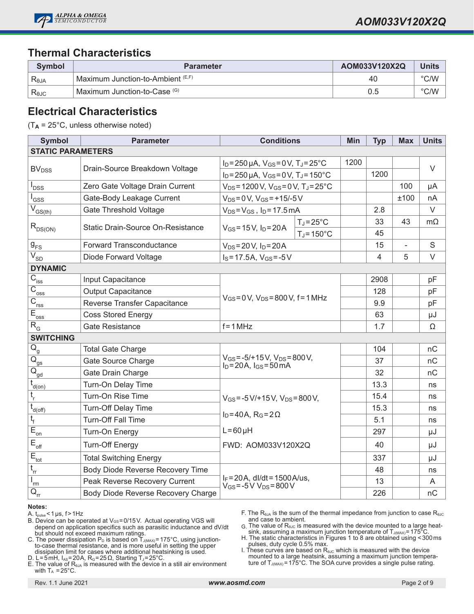

### **Thermal Characteristics**

| Symbol         | <b>Parameter</b>                               | AOM033V120X2Q | <b>Units</b>  |
|----------------|------------------------------------------------|---------------|---------------|
| Reja           | ' Maximum Junction-to-Ambient <sup>(E,F)</sup> | 40            | $\degree$ C/W |
| $R_{\theta$ JC | Maximum Junction-to-Case (G)                   | 0.5           | $\degree$ C/W |

#### **Electrical Characteristics**

(T**A** = 25°C, unless otherwise noted)

| <b>Symbol</b>                               | <b>Parameter</b>                   | <b>Conditions</b>                                                         |                      | Min  | <b>Typ</b>     | <b>Max</b> | <b>Units</b> |
|---------------------------------------------|------------------------------------|---------------------------------------------------------------------------|----------------------|------|----------------|------------|--------------|
| <b>STATIC PARAMETERS</b>                    |                                    |                                                                           |                      |      |                |            |              |
|                                             | Drain-Source Breakdown Voltage     | $I_D = 250 \,\mu A$ , $V_{GS} = 0 V$ , $T_J = 25^{\circ}C$                |                      | 1200 |                |            | $\vee$       |
| <b>BV<sub>DSS</sub></b>                     |                                    | $I_D = 250 \mu A$ , $V_{GS} = 0 V$ , $T_J = 150^{\circ}C$                 |                      |      | 1200           |            |              |
| <b>DSS</b>                                  | Zero Gate Voltage Drain Current    | $V_{DS}$ = 1200 V, $V_{GS}$ = 0 V, T <sub>J</sub> = 25 $^{\circ}$ C       |                      |      |                | 100        | μA           |
| l <sub>GSS</sub>                            | Gate-Body Leakage Current          | $V_{DS} = 0 V$ , $V_{GS} = +15/-5 V$                                      |                      |      |                | ±100       | nA           |
| $\overline{V}_{GS(th)}$                     | <b>Gate Threshold Voltage</b>      | $V_{DS} = V_{GS}$ , $I_D = 17.5$ mA                                       |                      |      | 2.8            |            | $\vee$       |
|                                             | Static Drain-Source On-Resistance  |                                                                           | $T_J = 25^{\circ}C$  |      | 33             | 43         | $m\Omega$    |
| $R_{DS(ON)}$                                |                                    | $V_{GS} = 15 V$ , $I_D = 20 A$                                            | $T_J = 150^{\circ}C$ |      | 45             |            |              |
| $g_{\rm FS}$                                | <b>Forward Transconductance</b>    | $V_{DS} = 20 V$ , $I_D = 20 A$                                            |                      |      | 15             | ÷,         | $\mathbf S$  |
| $V_{SD}$                                    | Diode Forward Voltage              | $I_S = 17.5A$ , $V_{GS} = -5V$                                            |                      |      | $\overline{4}$ | 5          | $\vee$       |
| <b>DYNAMIC</b>                              |                                    |                                                                           |                      |      |                |            |              |
| $\overline{C}_{\text{iss}}$                 | Input Capacitance                  |                                                                           |                      |      | 2908           |            | pF           |
| $\overline{C}_{\underline{oss}}$            | <b>Output Capacitance</b>          |                                                                           |                      | 128  |                | pF         |              |
| $\overline{C}_{\underline{rss}}$            | Reverse Transfer Capacitance       | $V_{GS} = 0 V$ , $V_{DS} = 800 V$ , f = 1 MHz                             |                      |      | 9.9            |            | pF           |
| $E_{\underline{oss}}$                       | <b>Coss Stored Energy</b>          |                                                                           |                      | 63   |                | μJ         |              |
| $R_{G}$                                     | <b>Gate Resistance</b>             | $f = 1 MHz$                                                               |                      | 1.7  |                | Ω          |              |
| <b>SWITCHING</b>                            |                                    |                                                                           |                      |      |                |            |              |
| $\overline{Q}_{\underline{g}}$              | <b>Total Gate Charge</b>           |                                                                           |                      |      | 104            |            | nC           |
| $\overline{\mathsf{Q}}_{\mathsf{gs}}$       | Gate Source Charge                 | $V_{GS} = -5/+15 V$ , $V_{DS} = 800 V$ ,<br>$I_D = 20A$ , $I_{GS} = 50mA$ |                      |      | 37             |            | nC           |
| $\overline{Q}_{\underline{gd}}$             | Gate Drain Charge                  |                                                                           |                      |      | 32             |            | nC           |
| $\bar{t}_{\underline{d}(on)}$               | Turn-On Delay Time                 |                                                                           |                      |      | 13.3           |            | ns           |
| $t_r$                                       | Turn-On Rise Time                  | $V_{GS} = -5 V/ + 15 V$ , $V_{DS} = 800 V$ ,                              |                      |      | 15.4           |            | ns           |
| $\bar{t}_{\underline{d(\text{off})}}$       | Turn-Off Delay Time                |                                                                           |                      |      | 15.3           |            | ns           |
| $t_{\rm f}$                                 | <b>Turn-Off Fall Time</b>          | $I_D = 40A$ , $R_G = 2\Omega$                                             |                      |      | 5.1            |            | ns           |
| $\overline{E}_{\underline{on}}$             | Turn-On Energy                     | $L = 60 \mu H$                                                            |                      |      | 297            |            | μJ           |
| $\mathsf{E}_{\mathsf{off}}$                 | <b>Turn-Off Energy</b>             | FWD: AOM033V120X2Q                                                        |                      |      | 40             |            | μJ           |
| $E_{\underline{\underline{\mathrm{tot}}}}$  | <b>Total Switching Energy</b>      |                                                                           |                      |      | 337            |            | μJ           |
| $t_{rr}$                                    | Body Diode Reverse Recovery Time   |                                                                           |                      |      | 48             |            | ns           |
| $\mathsf{I}_{\mathsf{rm}}$                  | Peak Reverse Recovery Current      | $I_F = 20A$ , dl/dt = 1500A/us,<br>$V_{GS} = -5V V_{DS} = 800V$           |                      |      | 13             |            | A            |
| $\overline{Q}_{\underline{r}\underline{r}}$ | Body Diode Reverse Recovery Charge |                                                                           |                      |      | 226            |            | nC           |

#### **Notes:**

A.  $t_{pulse}$  < 1 µs,  $f > 1$  Hz

B. Device can be operated at VGS=0/15V. Actual operating VGS will depend on application specifics such as parasitic inductance and dV/dt but should not exceed maximum ratings.

C. The power dissipation  $\mathsf{P}_\mathsf{D}$  is based on  $\mathsf{T}_\mathsf{J(MAX)}$ =175°C, using junctionto-case thermal resistance, and is more useful in setting the upper dissipation limit for cases where additional heatsinking is used.

D. L=5mH, I<sub>AS</sub>=20A, R<sub>G</sub>=25 Ω, Starting T<sub>J</sub>=25°C.

E. The value of  $R<sub>θJA</sub>$  is measured with the device in a still air environment with  $T_A = 25^{\circ}$ C.

F. The R<sub>θJA</sub> is the sum of the thermal impedance from junction to case R<sub>θJC</sub> and case to ambient.

 $G$ . The value of R<sub>θJC</sub> is measured with the device mounted to a large heat-<br>sink, assuming a maximum junction temperature of Tآررامین = 175°C.

H. The static characteristics in Figures 1 to 8 are obtained using <300ms pulses, duty cycle 0.5% max.

I. These curves are based on R<sub>θJC</sub> which is measured with the device<br>mounted to a large heatsink, assuming a maximum junction temperature of  $T_{J(MAX)} = 175^{\circ}$ C. The SOA curve provides a single pulse rating.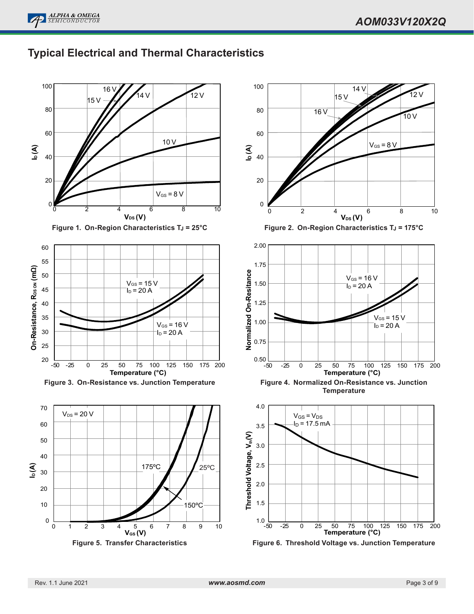



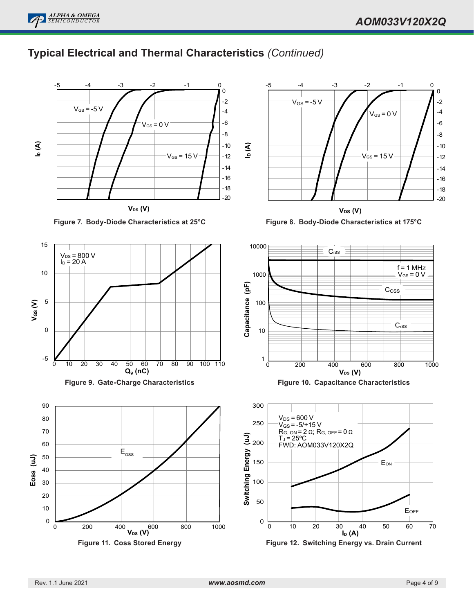

## **Typical Electrical and Thermal Characteristics** *(Continued)*



**Figure 11. Coss Stored Energy**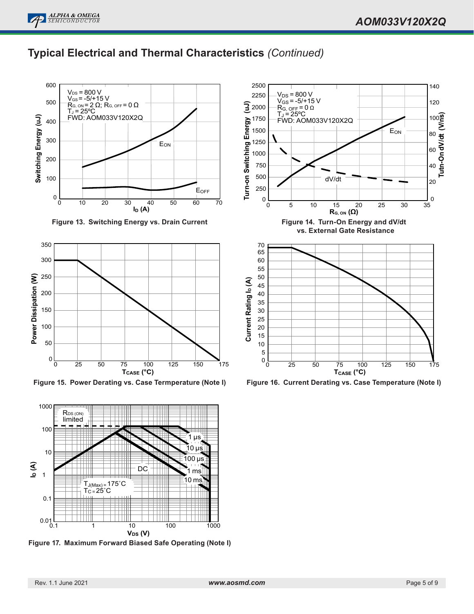## **Typical Electrical and Thermal Characteristics** *(Continued)*



**Figure 13. Switching Energy vs. Drain Current**



**Figure 15. Power Derating vs. Case Termperature (Note I)**



**Figure 17. Maximum Forward Biased Safe Operating (Note I)**



**Figure 16. Current Derating vs. Case Temperature (Note I)**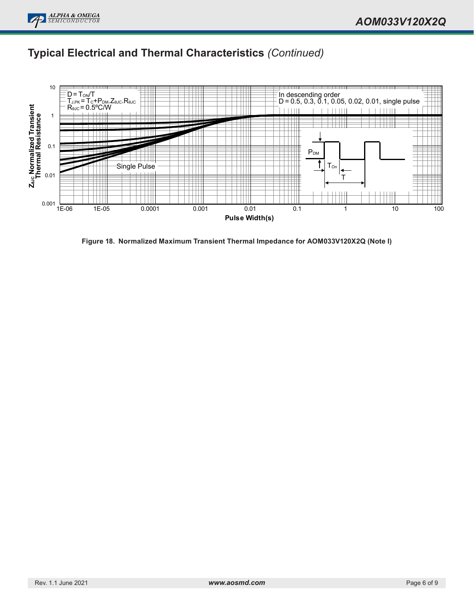

## **Typical Electrical and Thermal Characteristics** *(Continued)*



**Figure 18. Normalized Maximum Transient Thermal Impedance for AOM033V120X2Q (Note I)**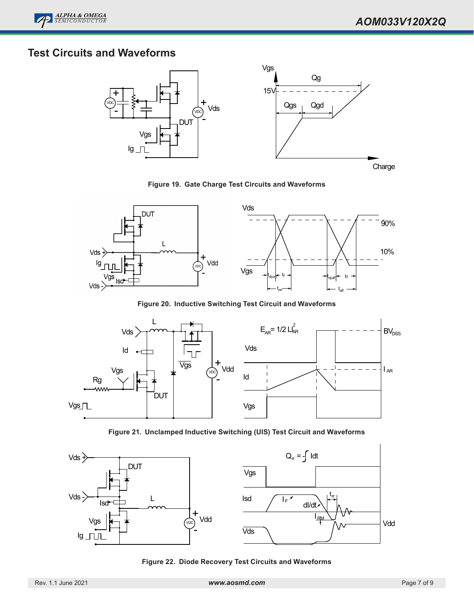

## **Test Circuits and Waveforms**



**Figure 19. Gate Charge Test Circuits and Waveforms**



**Figure 20. Inductive Switching Test Circuit and Waveforms**



**Figure 21. Unclamped Inductive Switching (UIS) Test Circuit and Waveforms**



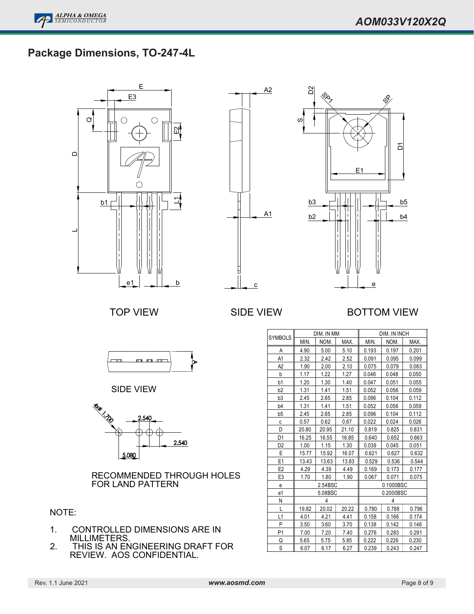# Package Dimensions, TO-247-4L

**ALPHA & OMEGA** *SEMICONDUCTOR*

E E3  $\bigcirc$  $\bigcirc$  $\circ$  $\Xi$  $\mathbf{\Omega}$  $\bigcirc$ L1  $b1$ Le1 b





### TOP VIEW SIDE VIEW BOTTOM VIEW



SIDE VIEW



RECOMMENDED THROUGH HOLES FOR LAND PATTERN

#### NOTE:

- 1. CONTROLLED DIMENSIONS ARE IN MILLIMETERS.
- 2. THIS IS AN ENGINEERING DRAFT FOR REVIEW. AOS CONFIDENTIAL.

|                |         | DIM. IN MM |       | DIM. IN INCH |           |       |
|----------------|---------|------------|-------|--------------|-----------|-------|
| <b>SYMBOLS</b> | MIN.    | NOM.       | MAX.  | MIN.         | NOM.      | MAX.  |
| A              | 4.90    | 5.00       | 5.10  | 0.193        | 0.197     | 0.201 |
| A1             | 2.32    | 2.42       | 2.52  | 0.091        | 0.095     | 0.099 |
| A <sub>2</sub> | 1.90    | 2.00       | 2.10  | 0.075        | 0.079     | 0.083 |
| b              | 1.17    | 1.22       | 1.27  | 0.046        | 0.048     | 0.050 |
| b1             | 1.20    | 1.30       | 1.40  | 0.047        | 0.051     | 0.055 |
| b <sub>2</sub> | 1.31    | 1.41       | 1.51  | 0.052        | 0.056     | 0.059 |
| b3             | 2.45    | 2.65       | 2.85  | 0.096        | 0.104     | 0.112 |
| b4             | 1.31    | 1.41       | 1.51  | 0.052        | 0.056     | 0.059 |
| b5             | 2.45    | 2.65       | 2.85  | 0.096        | 0.104     | 0.112 |
| C              | 0.57    | 0.62       | 0.67  | 0.022        | 0.024     | 0.026 |
| D              | 20.80   | 20.95      | 21.10 | 0.819        | 0.825     | 0.831 |
| D1             | 16.25   | 16.55      | 16.85 | 0.640        | 0.652     | 0.663 |
| D <sub>2</sub> | 1.00    | 1.15       | 1.30  | 0.039        | 0.045     | 0.051 |
| E              | 15.77   | 15.92      | 16.07 | 0.621        | 0.627     | 0.632 |
| E <sub>1</sub> | 13.43   | 13.63      | 13.83 | 0.529        | 0.536     | 0.544 |
| E <sub>2</sub> | 4.29    | 4.39       | 4.49  | 0.169        | 0.173     | 0.177 |
| E <sub>3</sub> | 1.70    | 1.80       | 1.90  | 0.067        | 0.071     | 0.075 |
| e              |         | 2.54BSC    |       |              | 0.1000BSC |       |
| e1             | 5.08BSC |            |       | 0.2000BSC    |           |       |
| N              | 4       |            |       | 4            |           |       |
| L              | 19.82   | 20.02      | 20.22 | 0.780        | 0.788     | 0.796 |
| L1             | 4.01    | 4.21       | 4.41  | 0.158        | 0.166     | 0.174 |
| P              | 3.50    | 3.60       | 3.70  | 0.138        | 0.142     | 0.146 |
| P1             | 7.00    | 7.20       | 7.40  | 0.276        | 0.283     | 0.291 |
| Q              | 5.65    | 5.75       | 5.85  | 0.222        | 0.226     | 0.230 |
| S              | 6.07    | 6.17       | 6.27  | 0.239        | 0.243     | 0.247 |